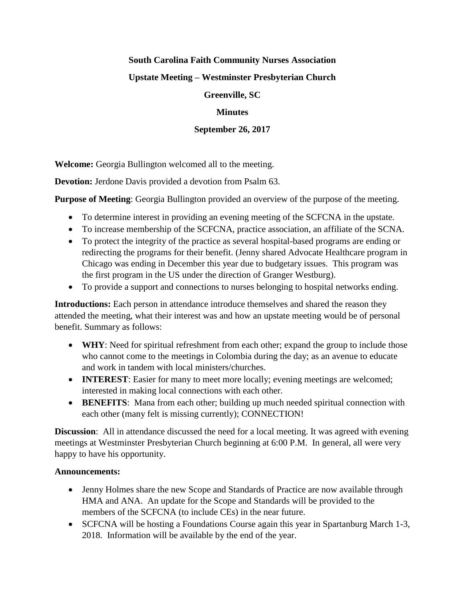### **South Carolina Faith Community Nurses Association**

# **Upstate Meeting – Westminster Presbyterian Church**

# **Greenville, SC**

# **Minutes**

# **September 26, 2017**

**Welcome:** Georgia Bullington welcomed all to the meeting.

**Devotion:** Jerdone Davis provided a devotion from Psalm 63.

**Purpose of Meeting**: Georgia Bullington provided an overview of the purpose of the meeting.

- To determine interest in providing an evening meeting of the SCFCNA in the upstate.
- To increase membership of the SCFCNA, practice association, an affiliate of the SCNA.
- To protect the integrity of the practice as several hospital-based programs are ending or redirecting the programs for their benefit. (Jenny shared Advocate Healthcare program in Chicago was ending in December this year due to budgetary issues. This program was the first program in the US under the direction of Granger Westburg).
- To provide a support and connections to nurses belonging to hospital networks ending.

**Introductions:** Each person in attendance introduce themselves and shared the reason they attended the meeting, what their interest was and how an upstate meeting would be of personal benefit. Summary as follows:

- **WHY**: Need for spiritual refreshment from each other; expand the group to include those who cannot come to the meetings in Colombia during the day; as an avenue to educate and work in tandem with local ministers/churches.
- **INTEREST**: Easier for many to meet more locally; evening meetings are welcomed; interested in making local connections with each other.
- **BENEFITS**: Mana from each other; building up much needed spiritual connection with each other (many felt is missing currently); CONNECTION!

**Discussion:** All in attendance discussed the need for a local meeting. It was agreed with evening meetings at Westminster Presbyterian Church beginning at 6:00 P.M. In general, all were very happy to have his opportunity.

### **Announcements:**

- Jenny Holmes share the new Scope and Standards of Practice are now available through HMA and ANA. An update for the Scope and Standards will be provided to the members of the SCFCNA (to include CEs) in the near future.
- SCFCNA will be hosting a Foundations Course again this year in Spartanburg March 1-3, 2018. Information will be available by the end of the year.